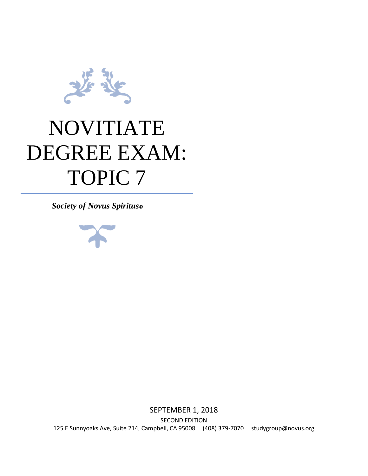

# NOVITIATE DEGREE EXAM: TOPIC 7

*Society of Novus Spiritus©*



SEPTEMBER 1, 2018 SECOND EDITION 125 E Sunnyoaks Ave, Suite 214, Campbell, CA 95008 (408) 379-7070 studygroup@novus.org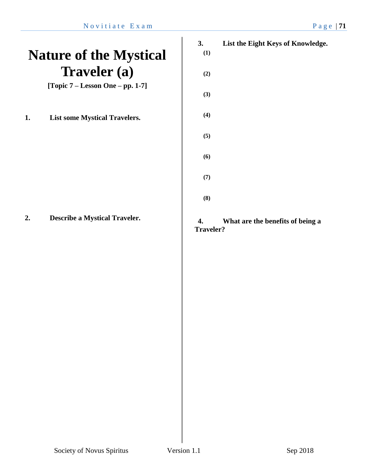# **Nature of the Mystical Traveler (a)**

**[Topic 7 – Lesson One – pp. 1-7]**

**1. List some Mystical Travelers.**

**2. Describe a Mystical Traveler.**

- **3. List the Eight Keys of Knowledge.**
	- **(1)**

**(2)**

**(8)**

- **(3)**
- **(4)**
- **(5)**
- **(6)**
	- **(7)**
		-

### **4. What are the benefits of being a Traveler?**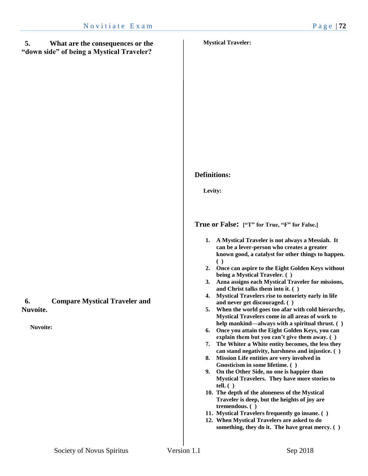### **5. What are the consequences or the "down side" of being a Mystical Traveler?**

#### **Mystical Traveler:**

**6. Compare Mystical Traveler and Nuvoite.**

**Nuvoite:**

#### **Definitions:**

**Levity:** 

#### **True or False: ["T" for True, "F" for False.]**

- **1. A Mystical Traveler is not always a Messiah. It can be a lever-person who creates a greater known good, a catalyst for other things to happen. ( )**
- **2. Once can aspire to the Eight Golden Keys without being a Mystical Traveler. ( )**
- **3. Azna assigns each Mystical Traveler for missions, and Christ talks them into it. ( )**
- **4. Mystical Travelers rise to notoriety early in life and never get discouraged. ( )**
- **5. When the world goes too afar with cold hierarchy, Mystical Travelers come in all areas of work to help mankind—always with a spiritual thrust. ( )**
- **6. Once you attain the Eight Golden Keys, you can explain them but you can't give them away. ( )**
- **7. The Whiter a White entity becomes, the less they can stand negativity, harshness and injustice. ( )**
- **8. Mission Life entities are very involved in Gnosticism in some lifetime. ( )**
- **9. On the Other Side, no one is happier than Mystical Travelers. They have more stories to tell. ( )**
- **10. The depth of the aloneness of the Mystical Traveler is deep, but the heights of joy are tremendous. ( )**
- **11. Mystical Travelers frequently go insane. ( )**
- **12. When Mystical Travelers are asked to do something, they do it. The have great mercy. ( )**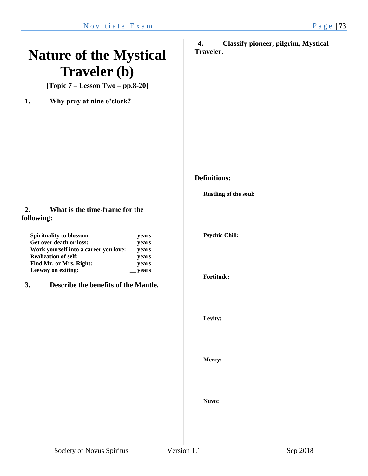# **Nature of the Mystical Traveler (b)**

**[Topic 7 – Lesson Two – pp.8-20]**

**1. Why pray at nine o'clock?**

### **2. What is the time-frame for the following:**

| <b>Spirituality to blossom:</b>               | <b>vears</b>   |
|-----------------------------------------------|----------------|
| Get over death or loss:                       | $\equiv$ years |
| Work yourself into a career you love: _ years |                |
| <b>Realization of self:</b>                   | $\equiv$ years |
| Find Mr. or Mrs. Right:                       | $\equiv$ years |
| Leeway on exiting:                            | <u>years</u>   |

**3. Describe the benefits of the Mantle.** 

**4. Classify pioneer, pilgrim, Mystical Traveler.**

# **Definitions:**

**Rustling of the soul:**

**Psychic Chill:**

**Fortitude:**

**Levity:**

**Mercy:**

**Nuvo:**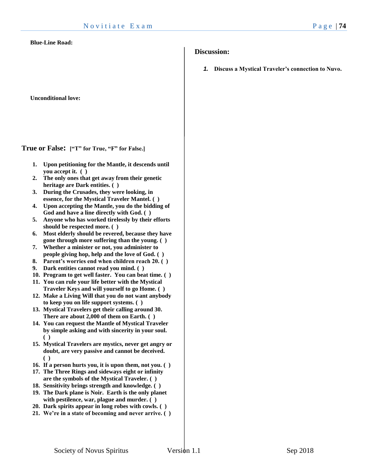#### **Blue-Line Road:**

**Unconditional love:**

**True or False: ["T" for True, "F" for False.]**

- **1. Upon petitioning for the Mantle, it descends until you accept it. ( )**
- **2. The only ones that get away from their genetic heritage are Dark entities. ( )**
- **3. During the Crusades, they were looking, in essence, for the Mystical Traveler Mantel. ( )**
- **4. Upon accepting the Mantle, you do the bidding of God and have a line directly with God. ( )**
- **5. Anyone who has worked tirelessly by their efforts should be respected more. ( )**
- **6. Most elderly should be revered, because they have gone through more suffering than the young. ( )**
- **7. Whether a minister or not, you administer to people giving hop, help and the love of God. ( )**
- **8. Parent's worries end when children reach 20. ( )**
- **9. Dark entities cannot read you mind. ( )**
- **10. Program to get well faster. You can beat time. ( )**
- **11. You can rule your life better with the Mystical Traveler Keys and will yourself to go Home. ( )**
- **12. Make a Living Will that you do not want anybody to keep you on life support systems. ( )**
- **13. Mystical Travelers get their calling around 30. There are about 2,000 of them on Earth. ( )**
- **14. You can request the Mantle of Mystical Traveler by simple asking and with sincerity in your soul. ( )**
- **15. Mystical Travelers are mystics, never get angry or doubt, are very passive and cannot be deceived. ( )**
- **16. If a person hurts you, it is upon them, not you. ( )**
- **17. The Three Rings and sideways eight or infinity are the symbols of the Mystical Traveler. ( )**
- **18. Sensitivity brings strength and knowledge. ( ) 19. The Dark plane is Noir. Earth is the only planet**
- **with pestilence, war, plague and murder. ( )**
- **20. Dark spirits appear in long robes with cowls. ( )**
- **21. We're in a state of becoming and never arrive. ( )**

#### **Discussion:**

*1.* **Discuss a Mystical Traveler's connection to Nuvo.**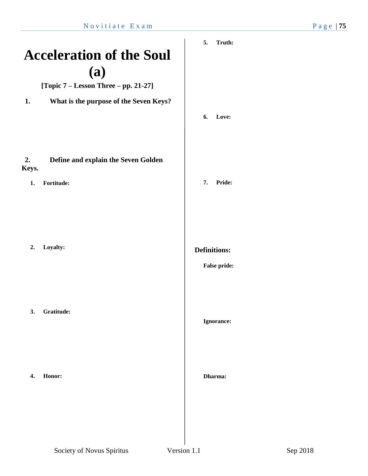# **Acceleration of the Soul (a)**

**[Topic 7 – Lesson Three – pp. 21-27]**

**1. What is the purpose of the Seven Keys?**

## **2. Define and explain the Seven Golden Keys.**

**1. Fortitude:**

**2. Loyalty:**

**3. Gratitude:**

**4. Honor:**

**6. Love:**

**7. Pride:**

**Definitions:**

#### **False pride:**

#### **Ignorance:**

#### **Dharma:**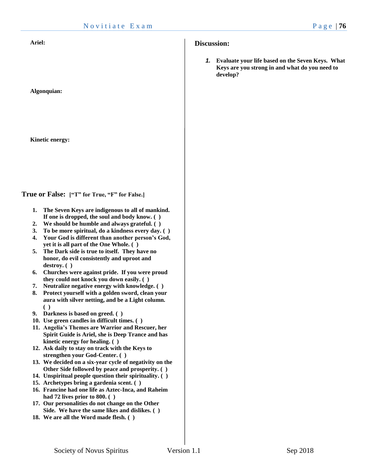**Algonquian:**

**Kinetic energy:** 

**True or False: ["T" for True, "F" for False.]**

- **1. The Seven Keys are indigenous to all of mankind. If one is dropped, the soul and body know. ( )**
- **2. We should be humble and always grateful. ( )**
- **3. To be more spiritual, do a kindness every day. ( )**
- **4. Your God is different than another person's God, yet it is all part of the One Whole. ( )**
- **5. The Dark side is true to itself. They have no honor, do evil consistently and uproot and destroy. ( )**
- **6. Churches were against pride. If you were proud they could not knock you down easily. ( )**
- **7. Neutralize negative energy with knowledge. ( )**
- **8. Protect yourself with a golden sword, clean your aura with silver netting, and be a Light column. ( )**
- **9. Darkness is based on greed. ( )**
- **10. Use green candles in difficult times. ( )**
- **11. Angelia's Themes are Warrior and Rescuer, her Spirit Guide is Ariel, she is Deep Trance and has kinetic energy for healing. ( )**
- **12. Ask daily to stay on track with the Keys to strengthen your God-Center. ( )**
- **13. We decided on a six-year cycle of negativity on the Other Side followed by peace and prosperity. ( )**
- **14. Unspiritual people question their spirituality. ( )**
- **15. Archetypes bring a gardenia scent. ( )**
- **16. Francine had one life as Aztec-Inca, and Raheim had 72 lives prior to 800. ( )**
- **17. Our personalities do not change on the Other Side. We have the same likes and dislikes. ( )**
- **18. We are all the Word made flesh. ( )**

#### **Discussion:**

*1.* **Evaluate your life based on the Seven Keys. What Keys are you strong in and what do you need to develop?**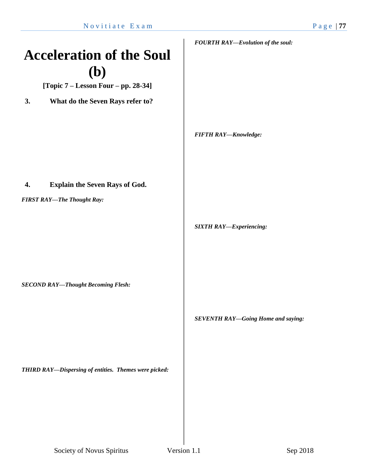# **Acceleration of the Soul (b)**

**[Topic 7 – Lesson Four – pp. 28-34]**

**3. What do the Seven Rays refer to?**

*FOURTH RAY—Evolution of the soul:*

*FIFTH RAY—Knowledge:*

### **4. Explain the Seven Rays of God.**

*FIRST RAY—The Thought Ray:*

*SIXTH RAY—Experiencing:*

*SECOND RAY—Thought Becoming Flesh:*

*SEVENTH RAY—Going Home and saying:*

*THIRD RAY—Dispersing of entities. Themes were picked:*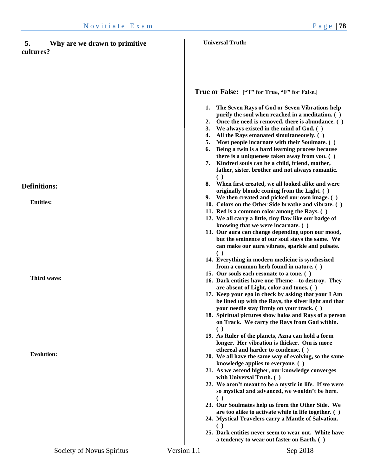| 5.<br>Why are we drawn to primitive<br>cultures? |             | <b>Universal Truth:</b>                                                                                                                                                                                                                                                                                                                                                                                                                                                                                                                                             |
|--------------------------------------------------|-------------|---------------------------------------------------------------------------------------------------------------------------------------------------------------------------------------------------------------------------------------------------------------------------------------------------------------------------------------------------------------------------------------------------------------------------------------------------------------------------------------------------------------------------------------------------------------------|
|                                                  |             | True or False: ["T" for True, "F" for False.]                                                                                                                                                                                                                                                                                                                                                                                                                                                                                                                       |
|                                                  |             | The Seven Rays of God or Seven Vibrations help<br>1.<br>purify the soul when reached in a meditation. ()<br>Once the need is removed, there is abundance. ()<br>2.<br>3.<br>We always existed in the mind of God. ()<br>All the Rays emanated simultaneously. ()<br>4.<br>Most people incarnate with their Soulmate. ()<br>5.<br>Being a twin is a hard learning process because<br>6.<br>there is a uniqueness taken away from you. ()<br>7. Kindred souls can be a child, friend, mother,<br>father, sister, brother and not always romantic.<br>$\left( \right)$ |
| <b>Definitions:</b>                              |             | When first created, we all looked alike and were<br>8.                                                                                                                                                                                                                                                                                                                                                                                                                                                                                                              |
| <b>Entities:</b>                                 |             | originally blonde coming from the Light. ()<br>9. We then created and picked our own image. ()<br>10. Colors on the Other Side breathe and vibrate. ()<br>11. Red is a common color among the Rays. ()<br>12. We all carry a little, tiny flaw like our badge of<br>knowing that we were incarnate. ()<br>13. Our aura can change depending upon our mood,                                                                                                                                                                                                          |
|                                                  |             | but the eminence of our soul stays the same. We<br>can make our aura vibrate, sparkle and pulsate.<br>$\left( \ \right)$                                                                                                                                                                                                                                                                                                                                                                                                                                            |
| Third wave:                                      |             | 14. Everything in modern medicine is synthesized<br>from a common herb found in nature. ()<br>15. Our souls each resonate to a tone. ()<br>16. Dark entities have one Theme—to destroy. They<br>are absent of Light, color and tones. ()                                                                                                                                                                                                                                                                                                                            |
|                                                  |             | 17. Keep your ego in check by asking that your I Am<br>be lined up with the Rays, the sliver light and that<br>your needle stay firmly on your track. ()<br>18. Spiritual pictures show halos and Rays of a person<br>on Track. We carry the Rays from God within.                                                                                                                                                                                                                                                                                                  |
|                                                  |             | $\left( \ \right)$<br>19. As Ruler of the planets, Azna can hold a form<br>longer. Her vibration is thicker. Om is more<br>ethereal and harder to condense. ()                                                                                                                                                                                                                                                                                                                                                                                                      |
| <b>Evolution:</b>                                |             | 20. We all have the same way of evolving, so the same<br>knowledge applies to everyone. ()<br>21. As we ascend higher, our knowledge converges<br>with Universal Truth. ()                                                                                                                                                                                                                                                                                                                                                                                          |
|                                                  |             | 22. We aren't meant to be a mystic in life. If we were<br>so mystical and advanced, we wouldn't be here.<br>€<br>23. Our Soulmates help us from the Other Side. We<br>are too alike to activate while in life together. ()                                                                                                                                                                                                                                                                                                                                          |
|                                                  |             | 24. Mystical Travelers carry a Mantle of Salvation.<br>25. Dark entities never seem to wear out. White have                                                                                                                                                                                                                                                                                                                                                                                                                                                         |
| Society of Novus Spiritus                        | Version 1.1 | a tendency to wear out faster on Earth. ()<br>Sep 2018                                                                                                                                                                                                                                                                                                                                                                                                                                                                                                              |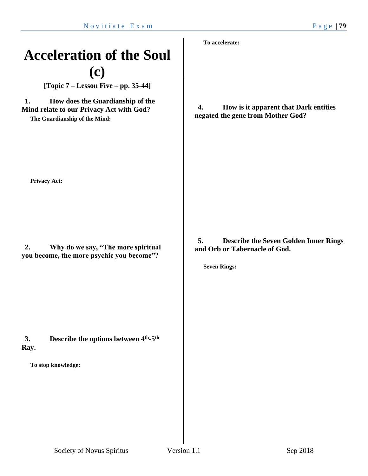# **Acceleration of the Soul (c)**

**[Topic 7 – Lesson Five – pp. 35-44]**

**1. How does the Guardianship of the Mind relate to our Privacy Act with God?**

**The Guardianship of the Mind:**

**To accelerate:**

**4. How is it apparent that Dark entities negated the gene from Mother God?**

**Privacy Act:**

**2. Why do we say, "The more spiritual you become, the more psychic you become"?**

**3. Describe the options between 4th -5 th Ray.**

**To stop knowledge:**

**5. Describe the Seven Golden Inner Rings and Orb or Tabernacle of God.**

**Seven Rings:**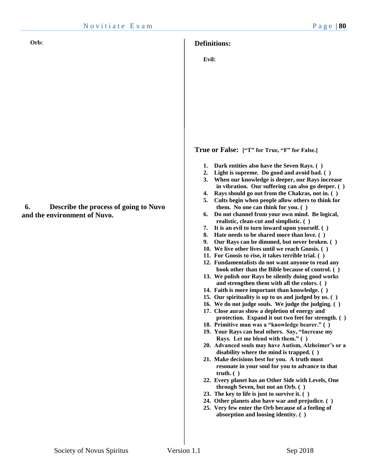#### **Definitions:**

**Evil:**

**True or False: ["T" for True, "F" for False.]**

- **1. Dark entities also have the Seven Rays. ( )**
- **2. Light is supreme. Do good and avoid bad. ( )**
- **3. When our knowledge is deeper, our Rays increase in vibration. Our suffering can also go deeper. ( )**
- **4. Rays should go out from the Chakras, not in. ( )**
- **5. Cults begin when people allow others to think for them. No one can think for you. ( )**
- **6. Do not channel from your own mind. Be logical, realistic, clean-cut and simplistic. ( )**
- **7. It is an evil to turn inward upon yourself. ( )**
- **8. Hate needs to be shared more than love. ( )**
- **9. Our Rays can be dimmed, but never broken. ( )**
- **10. We live other lives until we reach Gnosis. ( )**
- **11. For Gnosis to rise, it takes terrible trial. ( )**
- **12. Fundamentalists do not want anyone to read any book other than the Bible because of control. ( )**
- **13. We polish our Rays be silently doing good works and strengthen them with all the colors. ( )**
- **14. Faith is more important than knowledge. ( )**
- **15. Our spirituality is up to us and judged by us. ( )**
- **16. We do not judge souls. We judge the judging. ( )**
- **17. Close auras show a depletion of energy and protection. Expand it out two feet for strength. ( )**
- **18. Primitive man was a "knowledge bearer." ( )**
- **19. Your Rays can heal others. Say, "Increase my Rays. Let me blend with them." ( )**
- **20. Advanced souls may have Autism, Alzheimer's or a disability where the mind is trapped. ( )**
- **21. Make decisions best for you. A truth must resonate in your soul for you to advance to that truth. ( )**
- **22. Every planet has an Other Side with Levels, One through Seven, but not an Orb. ( )**
- **23. The key to life is just to survive it. ( )**
- **24. Other planets also have war and prejudice. ( ) 25. Very few enter the Orb because of a feeling of**
- **absorption and loosing identity. ( )**

**6. Describe the process of going to Nuvo and the environment of Nuvo.**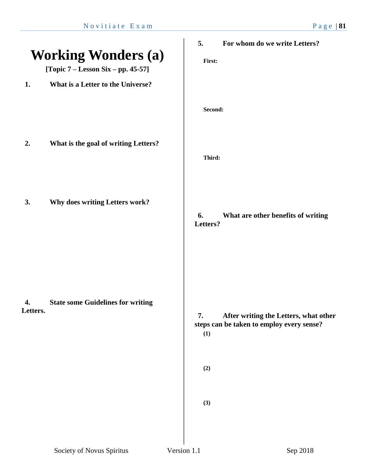|                |                                          | 5.                      | For whom do we write Letters?                                                      |
|----------------|------------------------------------------|-------------------------|------------------------------------------------------------------------------------|
|                | <b>Working Wonders (a)</b>               | First:                  |                                                                                    |
|                | [Topic $7 -$ Lesson Six - pp. 45-57]     |                         |                                                                                    |
| 1.             | What is a Letter to the Universe?        |                         |                                                                                    |
|                |                                          | Second:                 |                                                                                    |
| 2.             | What is the goal of writing Letters?     | Third:                  |                                                                                    |
| 3.             | Why does writing Letters work?           | 6.<br>Letters?          | What are other benefits of writing                                                 |
| 4.<br>Letters. | <b>State some Guidelines for writing</b> | 7.<br>(1)<br>(2)<br>(3) | After writing the Letters, what other<br>steps can be taken to employ every sense? |
|                |                                          |                         |                                                                                    |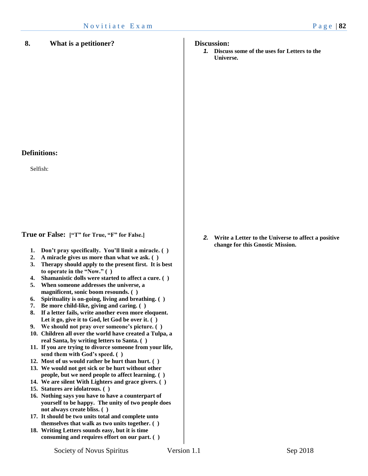#### **Definitions:**

Selfish:

**True or False: ["T" for True, "F" for False.]**

- **1. Don't pray specifically. You'll limit a miracle. ( )**
- **2. A miracle gives us more than what we ask. ( )**
- **3. Therapy should apply to the present first. It is best to operate in the "Now." ( )**
- **4. Shamanistic dolls were started to affect a cure. ( )**
- **5. When someone addresses the universe, a magnificent, sonic boom resounds. ( )**
- **6. Spirituality is on-going, living and breathing. ( )**
- **7. Be more child-like, giving and caring. ( )**
- **8. If a letter fails, write another even more eloquent. Let it go, give it to God, let God be over it. ( )**
- **9. We should not pray over someone's picture. ( )**
- **10. Children all over the world have created a Tulpa, a real Santa, by writing letters to Santa. ( )**
- **11. If you are trying to divorce someone from your life, send them with God's speed. ( )**
- **12. Most of us would rather be hurt than hurt. ( )**
- **13. We would not get sick or be hurt without other people, but we need people to affect learning. ( )**
- **14. We are silent With Lighters and grace givers. ( )**
- **15. Statures are idolatrous. ( )**
- **16. Nothing says you have to have a counterpart of yourself to be happy. The unity of two people does not always create bliss. ( )**
- **17. It should be two units total and complete unto themselves that walk as two units together. ( )**
- **18. Writing Letters sounds easy, but it is time consuming and requires effort on our part. ( )**

```
Discussion:
```
*1.* **Discuss some of the uses for Letters to the Universe.** 

*2.* **Write a Letter to the Universe to affect a positive change for this Gnostic Mission.**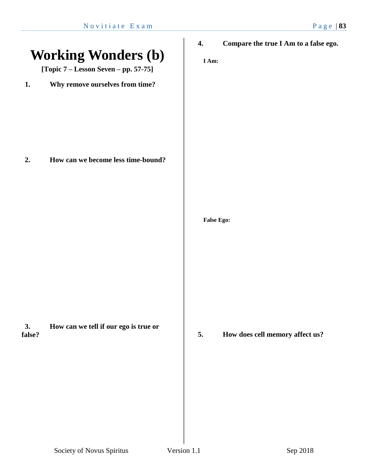|              | <b>Working Wonders (b)</b><br>[Topic $7 -$ Lesson Seven $-$ pp. 57-75] | 4.<br>I Am: | Compare the true I Am to a false ego.                |
|--------------|------------------------------------------------------------------------|-------------|------------------------------------------------------|
| 1.           | Why remove ourselves from time?                                        |             |                                                      |
| 2.           | How can we become less time-bound?                                     |             |                                                      |
| 3.<br>false? | How can we tell if our ego is true or                                  | 5.          | <b>False Ego:</b><br>How does cell memory affect us? |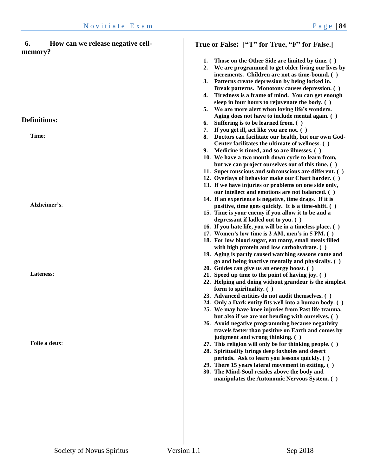| True or False: ["T" for True, "F" for False.]                                                                                                                                                                                                                                 |
|-------------------------------------------------------------------------------------------------------------------------------------------------------------------------------------------------------------------------------------------------------------------------------|
| Those on the Other Side are limited by time. ()<br>1.<br>We are programmed to get older living our lives by<br>2.<br>increments. Children are not as time-bound. ()<br>Patterns create depression by being locked in.<br>3.<br>Break patterns. Monotony causes depression. () |
| Tiredness is a frame of mind. You can get enough<br>4.<br>sleep in four hours to rejuvenate the body. ()<br>We are more alert when loving life's wonders.<br>5.                                                                                                               |
| Aging does not have to include mental again. ()<br>Suffering is to be learned from. ()<br>6.                                                                                                                                                                                  |
| If you get ill, act like you are not. ()<br>7.<br>Doctors can facilitate our health, but our own God-<br>8.<br>Center facilitates the ultimate of wellness. ()<br>Medicine is timed, and so are illnesses. ()<br>9. .                                                         |
| 10. We have a two month down cycle to learn from,<br>but we can project ourselves out of this time. ()<br>11. Superconscious and subconscious are different. ()                                                                                                               |
| 12. Overlays of behavior make our Chart harder. ()<br>13. If we have injuries or problems on one side only,<br>our intellect and emotions are not balanced. ()                                                                                                                |
| 14. If an experience is negative, time drags. If it is<br>positive, time goes quickly. It is a time-shift. ()<br>15. Time is your enemy if you allow it to be and a<br>depressant if ladled out to you. ()                                                                    |
| 16. If you hate life, you will be in a timeless place. ()<br>17. Women's low time is 2 AM, men's in 5 PM. ()<br>18. For low blood sugar, eat many, small meals filled                                                                                                         |
| with high protein and low carbohydrate. ()<br>19. Aging is partly caused watching seasons come and<br>go and being inactive mentally and physically. ()                                                                                                                       |
| 20. Guides can give us an energy boost. ()<br>21. Speed up time to the point of having joy. ()<br>22. Helping and doing without grandeur is the simplest<br>form to spirituality. ()                                                                                          |
| 23. Advanced entities do not audit themselves. ()<br>24. Only a Dark entity fits well into a human body. ()<br>25. We may have knee injuries from Past life trauma,<br>but also if we are not bending with ourselves. ()<br>26. Avoid negative programming because negativity |
| travels faster than positive on Earth and comes by<br>judgment and wrong thinking. ()<br>27. This religion will only be for thinking people. ()                                                                                                                               |
| 28. Spirituality brings deep foxholes and desert<br>periods. Ask to learn you lessons quickly. ()<br>29. There 15 years lateral movement in exiting. ()<br>30. The Mind-Soul resides above the body and<br>manipulates the Autonomic Nervous System. ()                       |
|                                                                                                                                                                                                                                                                               |
|                                                                                                                                                                                                                                                                               |
|                                                                                                                                                                                                                                                                               |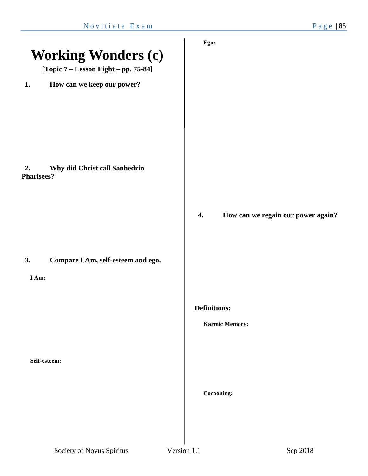|                                                          | Ego:                                     |
|----------------------------------------------------------|------------------------------------------|
| <b>Working Wonders (c)</b>                               |                                          |
| [Topic 7 – Lesson Eight – pp. 75-84]                     |                                          |
| How can we keep our power?<br>1.                         |                                          |
|                                                          |                                          |
|                                                          |                                          |
|                                                          |                                          |
|                                                          |                                          |
| Why did Christ call Sanhedrin<br>2.<br><b>Pharisees?</b> |                                          |
|                                                          |                                          |
|                                                          | 4.<br>How can we regain our power again? |
|                                                          |                                          |
|                                                          |                                          |
| Compare I Am, self-esteem and ego.<br>3.                 |                                          |
| I Am:                                                    |                                          |
|                                                          |                                          |
|                                                          | <b>Definitions:</b>                      |
|                                                          | <b>Karmic Memory:</b>                    |
|                                                          |                                          |
| Self-esteem:                                             |                                          |
|                                                          |                                          |
|                                                          | Cocooning:                               |
|                                                          |                                          |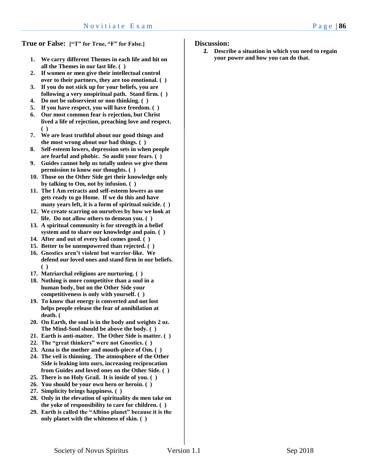**True or False: ["T" for True, "F" for False.]**

- **1. We carry different Themes in each life and hit on all the Themes in our last life. ( )**
- **2. If women or men give their intellectual control over to their partners, they are too emotional. ( )**
- **3. If you do not stick up for your beliefs, you are following a very unspiritual path. Stand firm. ( )**
- **4. Do not be subservient or non thinking. ( )**
- **5. If you have respect, you will have freedom. ( )**
- **6. Our most common fear is rejection, but Christ lived a life of rejection, preaching love and respect. ( )**
- **7. We are least truthful about our good things and the most wrong about our bad things. ( )**
- **8. Self-esteem lowers, depression sets in when people are fearful and phobic. So audit your fears. ( )**
- **9. Guides cannot help us totally unless we give them permission to know our thoughts. ( )**
- **10. Those on the Other Side get their knowledge only by talking to Om, not by infusion. ( )**
- **11. The I Am retracts and self-esteem lowers as one gets ready to go Home. If we do this and have many years left, it is a form of spiritual suicide. ( )**
- **12. We create scarring on ourselves by how we look at life. Do not allow others to demean you. ( )**
- **13. A spiritual community is for strength in a belief system and to share our knowledge and pain. ( )**
- **14. After and out of every bad comes good. ( )**
- **15. Better to be unempowered than rejected. ( )**
- **16. Gnostics aren't violent but warrior-like. We defend our loved ones and stand firm in our beliefs. ( )**
- **17. Matriarchal religions are nurturing. ( )**
- **18. Nothing is more competitive than a soul in a human body, but on the Other Side your competitiveness is only with yourself. ( )**
- **19. To know that energy is converted and not lost helps people release the fear of annihilation at death. (**
- **20. On Earth, the soul is in the body and weights 2 oz. The Mind-Soul should be above the body. ( )**
- **21. Earth is anti-matter. The Other Side is matter. ( )**
- **22. The "great thinkers" were not Gnostics. ( )**
- **23. Azna is the mother and mouth-piece of Om. ( )**
- **24. The veil is thinning. The atmosphere of the Other Side is leaking into ours, increasing reciprocation from Guides and loved ones on the Other Side. ( )**
- **25. There is no Holy Grail. It is inside of you. ( )**
- **26. You should be your own hero or heroin. ( )**
- **27. Simplicity brings happiness. ( )**
- **28. Only in the elevation of spirituality do men take on the yoke of responsibility to care for children. ( )**
- **29. Earth is called the "Albino planet" because it is the only planet with the whiteness of skin. ( )**

#### **Discussion:**

*1.* **Describe a situation in which you need to regain your power and how you can do that.**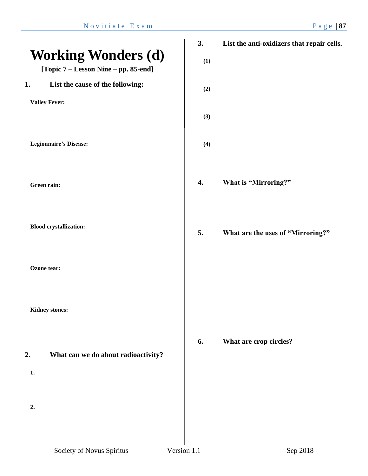|                                                                    | 3.  | List the anti-oxidizers that repair cells. |
|--------------------------------------------------------------------|-----|--------------------------------------------|
| <b>Working Wonders (d)</b><br>[Topic 7 – Lesson Nine – pp. 85-end] | (1) |                                            |
| List the cause of the following:<br>1.                             | (2) |                                            |
| <b>Valley Fever:</b>                                               | (3) |                                            |
| <b>Legionnaire's Disease:</b>                                      | (4) |                                            |
| Green rain:                                                        | 4.  | What is "Mirroring?"                       |
| <b>Blood crystallization:</b>                                      | 5.  | What are the uses of "Mirroring?"          |
| Ozone tear:                                                        |     |                                            |
| <b>Kidney stones:</b>                                              |     |                                            |
| 2.<br>What can we do about radioactivity?<br>1.                    | 6.  | What are crop circles?                     |
| 2.                                                                 |     |                                            |
|                                                                    |     |                                            |